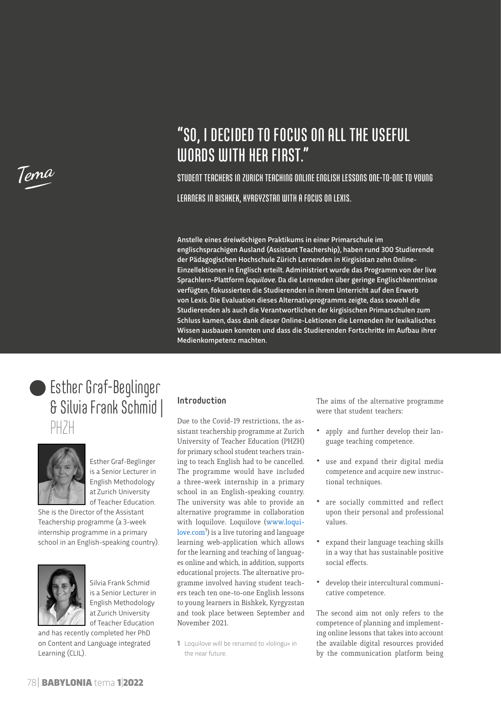

# "SO, I DECIDED TO FOCUS ON ALL THE USEFUL WORDS WITH HER FIRST."

STUDENT TEACHERS IN ZURICH TEACHING ONLINE ENGLISH LESSONS ONE-TO-ONE TO YOUNG LEARNERS IN BISHKEK, KYRGYZSTAN WITH A FOCUS ON LEXIS.

Anstelle eines dreiwöchigen Praktikums in einer Primarschule im englischsprachigen Ausland (Assistant Teachership), haben rund 300 Studierende der Pädagogischen Hochschule Zürich Lernenden in Kirgisistan zehn Online-Einzellektionen in Englisch erteilt. Administriert wurde das Programm von der live Sprachlern-Plattform *loquilove*. Da die Lernenden über geringe Englischkenntnisse verfügten, fokussierten die Studierenden in ihrem Unterricht auf den Erwerb von Lexis. Die Evaluation dieses Alternativprogramms zeigte, dass sowohl die Studierenden als auch die Verantwortlichen der kirgisischen Primarschulen zum Schluss kamen, dass dank dieser Online-Lektionen die Lernenden ihr lexikalisches Wissen ausbauen konnten und dass die Studierenden Fortschritte im Aufbau ihrer Medienkompetenz machten.





Esther Graf-Beglinger is a Senior Lecturer in English Methodology at Zurich University of Teacher Education.

She is the Director of the Assistant Teachership programme (a 3-week internship programme in a primary school in an English-speaking country).



Silvia Frank Schmid is a Senior Lecturer in English Methodology at Zurich University of Teacher Education

and has recently completed her PhD on Content and Language integrated Learning (CLIL).

# Introduction

Due to the Covid-19 restrictions, the assistant teachership programme at Zurich University of Teacher Education (PHZH) for primary school student teachers training to teach English had to be cancelled. The programme would have included a three-week internship in a primary school in an English-speaking country. The university was able to provide an alternative programme in collaboration with loquilove. Loquilove ([www.loqui](http://www.loquilove.com)[love.com](http://www.loquilove.com)<sup>1</sup>) is a live tutoring and language learning web-application which allows for the learning and teaching of languages online and which, in addition, supports educational projects. The alternative programme involved having student teachers teach ten one-to-one English lessons to young learners in Bishkek, Kyrgyzstan and took place between September and November 2021.

1 Loquilove will be renamed to «lolingu» in the near future.

The aims of the alternative programme were that student teachers:

- apply and further develop their language teaching competence.
- use and expand their digital media competence and acquire new instructional techniques.
- are socially committed and reflect upon their personal and professional values.
- expand their language teaching skills in a way that has sustainable positive social effects.
- develop their intercultural communicative competence.

The second aim not only refers to the competence of planning and implementing online lessons that takes into account the available digital resources provided by the communication platform being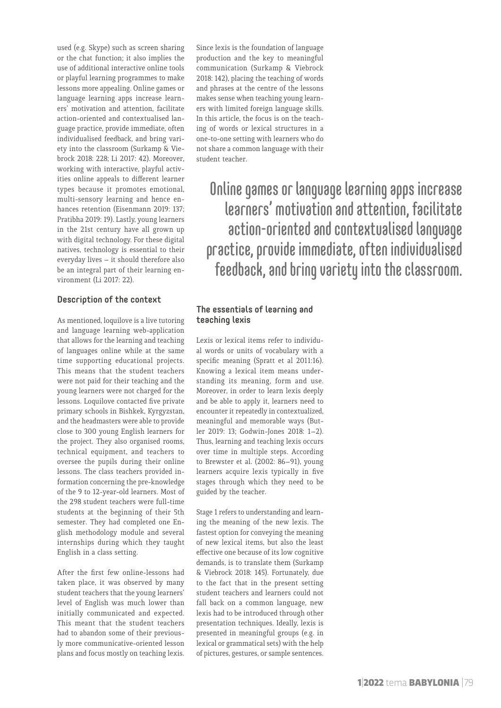used (e.g. Skype) such as screen sharing or the chat function; it also implies the use of additional interactive online tools or playful learning programmes to make lessons more appealing. Online games or language learning apps increase learners' motivation and attention, facilitate action-oriented and contextualised language practice, provide immediate, often individualised feedback, and bring variety into the classroom (Surkamp & Viebrock 2018: 228; Li 2017: 42). Moreover, working with interactive, playful activities online appeals to different learner types because it promotes emotional, multi-sensory learning and hence enhances retention (Eisenmann 2019: 137; Pratibha 2019: 19). Lastly, young learners in the 21st century have all grown up with digital technology. For these digital natives, technology is essential to their everyday lives – it should therefore also be an integral part of their learning environment (Li 2017: 22).

### Description of the context

As mentioned, loquilove is a live tutoring and language learning web-application that allows for the learning and teaching of languages online while at the same time supporting educational projects. This means that the student teachers were not paid for their teaching and the young learners were not charged for the lessons. Loquilove contacted five private primary schools in Bishkek, Kyrgyzstan, and the headmasters were able to provide close to 300 young English learners for the project. They also organised rooms, technical equipment, and teachers to oversee the pupils during their online lessons. The class teachers provided information concerning the pre-knowledge of the 9 to 12-year-old learners. Most of the 298 student teachers were full-time students at the beginning of their 5th semester. They had completed one English methodology module and several internships during which they taught English in a class setting.

After the first few online-lessons had taken place, it was observed by many student teachers that the young learners' level of English was much lower than initially communicated and expected. This meant that the student teachers had to abandon some of their previously more communicative-oriented lesson plans and focus mostly on teaching lexis.

Since lexis is the foundation of language production and the key to meaningful communication (Surkamp & Viebrock 2018: 142), placing the teaching of words and phrases at the centre of the lessons makes sense when teaching young learners with limited foreign language skills. In this article, the focus is on the teaching of words or lexical structures in a one-to-one setting with learners who do not share a common language with their student teacher.

Online games or language learning apps increase learners' motivation and attention, facilitate action-oriented and contextualised language practice, provide immediate, often individualised feedback, and bring variety into the classroom.

# The essentials of learning and teaching lexis

Lexis or lexical items refer to individual words or units of vocabulary with a specific meaning (Spratt et al 2011:16). Knowing a lexical item means understanding its meaning, form and use. Moreover, in order to learn lexis deeply and be able to apply it, learners need to encounter it repeatedly in contextualized, meaningful and memorable ways (Butler 2019: 13; Godwin-Jones 2018: 1–2). Thus, learning and teaching lexis occurs over time in multiple steps. According to Brewster et al. (2002: 86–91), young learners acquire lexis typically in five stages through which they need to be guided by the teacher.

Stage 1 refers to understanding and learning the meaning of the new lexis. The fastest option for conveying the meaning of new lexical items, but also the least effective one because of its low cognitive demands, is to translate them (Surkamp & Viebrock 2018: 145). Fortunately, due to the fact that in the present setting student teachers and learners could not fall back on a common language, new lexis had to be introduced through other presentation techniques. Ideally, lexis is presented in meaningful groups (e.g. in lexical or grammatical sets) with the help of pictures, gestures, or sample sentences.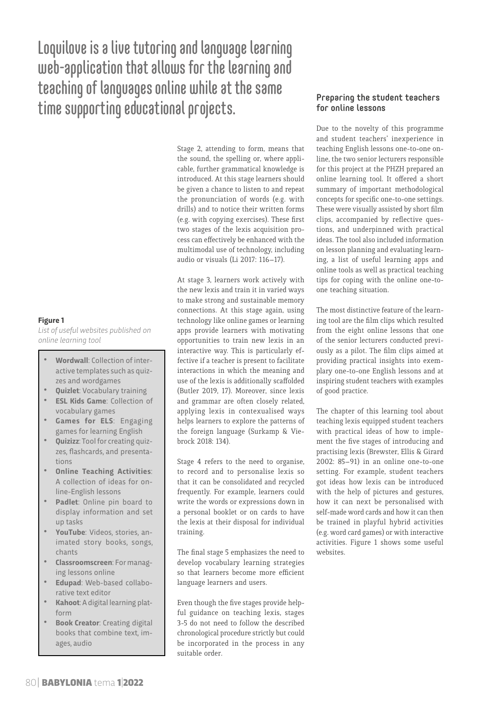Loquilove is a live tutoring and language learning web-application that allows for the learning and teaching of languages online while at the same time supporting educational projects.

> Stage 2, attending to form, means that the sound, the spelling or, where applicable, further grammatical knowledge is introduced. At this stage learners should be given a chance to listen to and repeat the pronunciation of words (e.g. with drills) and to notice their written forms (e.g. with copying exercises). These first two stages of the lexis acquisition process can effectively be enhanced with the multimodal use of technology, including audio or visuals (Li 2017: 116–17).

> At stage 3, learners work actively with the new lexis and train it in varied ways to make strong and sustainable memory connections. At this stage again, using technology like online games or learning apps provide learners with motivating opportunities to train new lexis in an interactive way. This is particularly effective if a teacher is present to facilitate interactions in which the meaning and use of the lexis is additionally scaffolded (Butler 2019, 17). Moreover, since lexis and grammar are often closely related, applying lexis in contexualised ways helps learners to explore the patterns of the foreign language (Surkamp & Viebrock 2018: 134).

> Stage 4 refers to the need to organise, to record and to personalise lexis so that it can be consolidated and recycled frequently. For example, learners could write the words or expressions down in a personal booklet or on cards to have the lexis at their disposal for individual training.

> The final stage 5 emphasizes the need to develop vocabulary learning strategies so that learners become more efficient language learners and users.

> Even though the five stages provide helpful guidance on teaching lexis, stages 3-5 do not need to follow the described chronological procedure strictly but could be incorporated in the process in any suitable order.

## Preparing the student teachers for online lessons

Due to the novelty of this programme and student teachers' inexperience in teaching English lessons one-to-one online, the two senior lecturers responsible for this project at the PHZH prepared an online learning tool. It offered a short summary of important methodological concepts for specific one-to-one settings. These were visually assisted by short film clips, accompanied by reflective questions, and underpinned with practical ideas. The tool also included information on lesson planning and evaluating learning, a list of useful learning apps and online tools as well as practical teaching tips for coping with the online one-toone teaching situation.

The most distinctive feature of the learning tool are the film clips which resulted from the eight online lessons that one of the senior lecturers conducted previously as a pilot. The film clips aimed at providing practical insights into exemplary one-to-one English lessons and at inspiring student teachers with examples of good practice.

The chapter of this learning tool about teaching lexis equipped student teachers with practical ideas of how to implement the five stages of introducing and practising lexis (Brewster, Ellis & Girard 2002: 85–91) in an online one-to-one setting. For example, student teachers got ideas how lexis can be introduced with the help of pictures and gestures, how it can next be personalised with self-made word cards and how it can then be trained in playful hybrid activities (e.g. word card games) or with interactive activities. Figure 1 shows some useful websites.

#### **Figure 1**

*List of useful websites published on online learning tool*

- **Wordwall**: Collection of interactive templates such as quizzes and wordgames
- **Quizlet**: Vocabulary training
- **ESL Kids Game**: Collection of vocabulary games
- **Games for ELS**: Engaging games for learning English
- **Quizizz**: Tool for creating quizzes, flashcards, and presentations
- **Online Teaching Activities**: A collection of ideas for online-English lessons
- **Padlet:** Online pin board to display information and set up tasks
- **YouTube**: Videos, stories, animated story books, songs, chants
- **Classroomscreen**: For managing lessons online
- **Edupad**: Web-based collaborative text editor
- **Kahoot**: A digital learning platform
- **Book Creator**: Creating digital books that combine text, images, audio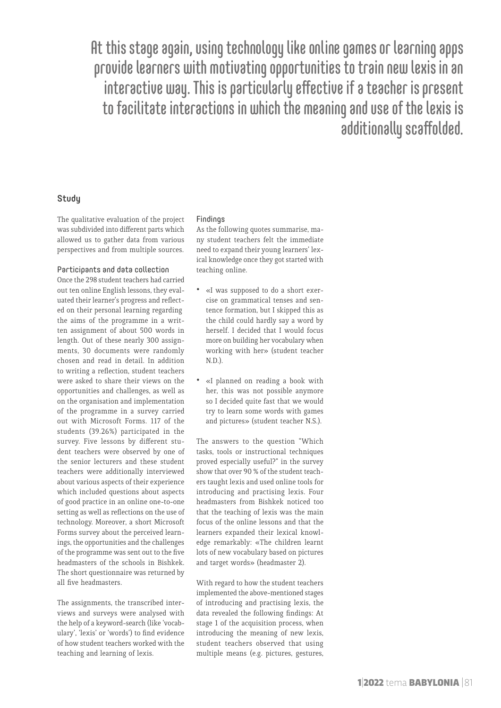At this stage again, using technology like online games or learning apps provide learners with motivating opportunities to train new lexis in an interactive way. This is particularly effective if a teacher is present to facilitate interactions in which the meaning and use of the lexis is additionally scaffolded.

#### **Study**

The qualitative evaluation of the project was subdivided into different parts which allowed us to gather data from various perspectives and from multiple sources.

#### Participants and data collection

Once the 298 student teachers had carried out ten online English lessons, they evaluated their learner's progress and reflected on their personal learning regarding the aims of the programme in a written assignment of about 500 words in length. Out of these nearly 300 assignments, 30 documents were randomly chosen and read in detail. In addition to writing a reflection, student teachers were asked to share their views on the opportunities and challenges, as well as on the organisation and implementation of the programme in a survey carried out with Microsoft Forms. 117 of the students (39.26%) participated in the survey. Five lessons by different student teachers were observed by one of the senior lecturers and these student teachers were additionally interviewed about various aspects of their experience which included questions about aspects of good practice in an online one-to-one setting as well as reflections on the use of technology. Moreover, a short Microsoft Forms survey about the perceived learnings, the opportunities and the challenges of the programme was sent out to the five headmasters of the schools in Bishkek. The short questionnaire was returned by all five headmasters.

The assignments, the transcribed interviews and surveys were analysed with the help of a keyword-search (like 'vocabulary', 'lexis' or 'words') to find evidence of how student teachers worked with the teaching and learning of lexis.

#### Findings

As the following quotes summarise, many student teachers felt the immediate need to expand their young learners' lexical knowledge once they got started with teaching online.

- «I was supposed to do a short exercise on grammatical tenses and sentence formation, but I skipped this as the child could hardly say a word by herself. I decided that I would focus more on building her vocabulary when working with her» (student teacher N.D.).
- «I planned on reading a book with her, this was not possible anymore so I decided quite fast that we would try to learn some words with games and pictures» (student teacher N.S.).

The answers to the question "Which tasks, tools or instructional techniques proved especially useful?" in the survey show that over 90 % of the student teachers taught lexis and used online tools for introducing and practising lexis. Four headmasters from Bishkek noticed too that the teaching of lexis was the main focus of the online lessons and that the learners expanded their lexical knowledge remarkably: «The children learnt lots of new vocabulary based on pictures and target words» (headmaster 2).

With regard to how the student teachers implemented the above-mentioned stages of introducing and practising lexis, the data revealed the following findings: At stage 1 of the acquisition process, when introducing the meaning of new lexis, student teachers observed that using multiple means (e.g. pictures, gestures,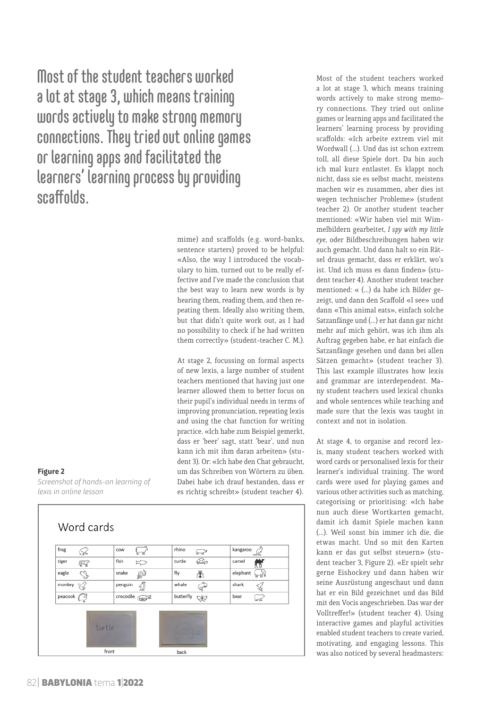Most of the student teachers worked a lot at stage 3, which means training words actively to make strong memory connections. They tried out online games or learning apps and facilitated the learners' learning process by providing scaffolds.

> mime) and scaffolds (e.g. word-banks, sentence starters) proved to be helpful: «Also, the way I introduced the vocabulary to him, turned out to be really effective and I've made the conclusion that the best way to learn new words is by hearing them, reading them, and then repeating them. Ideally also writing them, but that didn't quite work out, as I had no possibility to check if he had written them correctly» (student-teacher C. M.).

> At stage 2, focussing on formal aspects of new lexis, a large number of student teachers mentioned that having just one learner allowed them to better focus on their pupil's individual needs in terms of improving pronunciation, repeating lexis and using the chat function for writing practice. «Ich habe zum Beispiel gemerkt, dass er 'beer' sagt, statt 'bear', und nun kann ich mit ihm daran arbeiten» (student 3). Or: «Ich habe den Chat gebraucht, um das Schreiben von Wörtern zu üben. Dabei habe ich drauf bestanden, dass er es richtig schreibt» (student teacher 4).

**Figure 2**

*Screenshot of hands-on learning of lexis in online lesson* 



Most of the student teachers worked a lot at stage 3, which means training words actively to make strong memory connections. They tried out online games or learning apps and facilitated the learners' learning process by providing scaffolds: «Ich arbeite extrem viel mit Wordwall (…). Und das ist schon extrem toll, all diese Spiele dort. Da bin auch ich mal kurz entlastet. Es klappt noch nicht, dass sie es selbst macht, meistens machen wir es zusammen, aber dies ist wegen technischer Probleme» (student teacher 2). Or another student teacher mentioned: «Wir haben viel mit Wimmelbildern gearbeitet, *I spy with my little eye*, oder Bildbeschreibungen haben wir auch gemacht. Und dann halt so ein Rätsel draus gemacht, dass er erklärt, wo's ist. Und ich muss es dann finden» (student teacher 4). Another student teacher mentioned: « (…) da habe ich Bilder gezeigt, und dann den Scaffold «I see» und dann «This animal eats», einfach solche Satzanfänge und (…) er hat dann gar nicht mehr auf mich gehört, was ich ihm als Auftrag gegeben habe, er hat einfach die Satzanfänge gesehen und dann bei allen Sätzen gemacht» (student teacher 3). This last example illustrates how lexis and grammar are interdependent. Many student teachers used lexical chunks and whole sentences while teaching and made sure that the lexis was taught in context and not in isolation.

At stage 4, to organise and record lexis, many student teachers worked with word cards or personalised lexis for their learner's individual training. The word cards were used for playing games and various other activities such as matching, categorising or prioritising: «Ich habe nun auch diese Wortkarten gemacht, damit ich damit Spiele machen kann (…). Weil sonst bin immer ich die, die etwas macht. Und so mit den Karten kann er das gut selbst steuern» (student teacher 3, Figure 2). «Er spielt sehr gerne Eishockey und dann haben wir seine Ausrüstung angeschaut und dann hat er ein Bild gezeichnet und das Bild mit den Vocis angeschrieben. Das war der Volltreffer!» (student teacher 4). Using interactive games and playful activities enabled student teachers to create varied, motivating, and engaging lessons. This was also noticed by several headmasters: